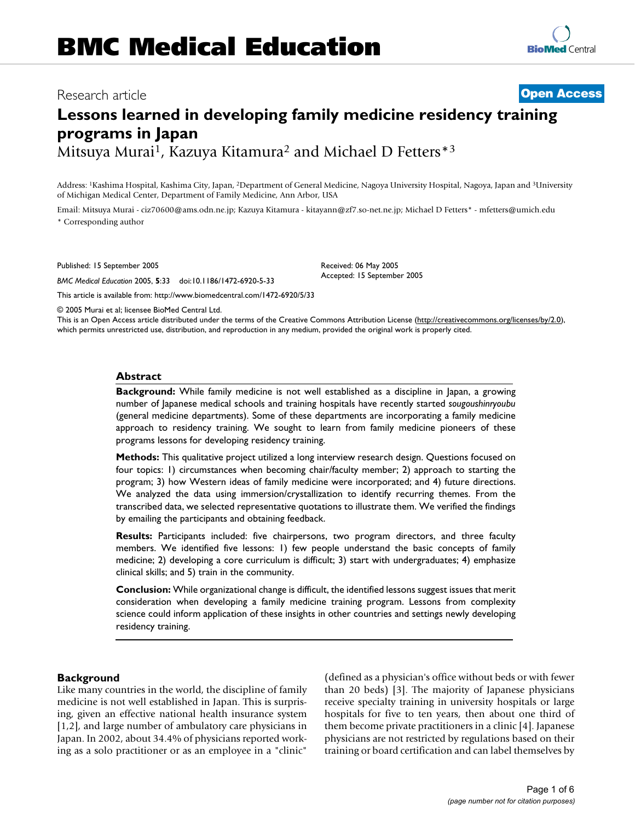# Research article **[Open Access](http://www.biomedcentral.com/info/about/charter/)**

# **Lessons learned in developing family medicine residency training programs in Japan**

Mitsuya Murai<sup>1</sup>, Kazuya Kitamura<sup>2</sup> and Michael D Fetters<sup>\*3</sup>

Address: 1Kashima Hospital, Kashima City, Japan, 2Department of General Medicine, Nagoya University Hospital, Nagoya, Japan and 3University of Michigan Medical Center, Department of Family Medicine, Ann Arbor, USA

> Received: 06 May 2005 Accepted: 15 September 2005

Email: Mitsuya Murai - ciz70600@ams.odn.ne.jp; Kazuya Kitamura - kitayann@zf7.so-net.ne.jp; Michael D Fetters\* - mfetters@umich.edu \* Corresponding author

Published: 15 September 2005

*BMC Medical Education* 2005, **5**:33 doi:10.1186/1472-6920-5-33

[This article is available from: http://www.biomedcentral.com/1472-6920/5/33](http://www.biomedcentral.com/1472-6920/5/33)

© 2005 Murai et al; licensee BioMed Central Ltd.

This is an Open Access article distributed under the terms of the Creative Commons Attribution License [\(http://creativecommons.org/licenses/by/2.0\)](http://creativecommons.org/licenses/by/2.0), which permits unrestricted use, distribution, and reproduction in any medium, provided the original work is properly cited.

#### **Abstract**

**Background:** While family medicine is not well established as a discipline in Japan, a growing number of Japanese medical schools and training hospitals have recently started *sougoushinryoubu* (general medicine departments). Some of these departments are incorporating a family medicine approach to residency training. We sought to learn from family medicine pioneers of these programs lessons for developing residency training.

**Methods:** This qualitative project utilized a long interview research design. Questions focused on four topics: 1) circumstances when becoming chair/faculty member; 2) approach to starting the program; 3) how Western ideas of family medicine were incorporated; and 4) future directions. We analyzed the data using immersion/crystallization to identify recurring themes. From the transcribed data, we selected representative quotations to illustrate them. We verified the findings by emailing the participants and obtaining feedback.

**Results:** Participants included: five chairpersons, two program directors, and three faculty members. We identified five lessons: 1) few people understand the basic concepts of family medicine; 2) developing a core curriculum is difficult; 3) start with undergraduates; 4) emphasize clinical skills; and 5) train in the community.

**Conclusion:** While organizational change is difficult, the identified lessons suggest issues that merit consideration when developing a family medicine training program. Lessons from complexity science could inform application of these insights in other countries and settings newly developing residency training.

#### **Background**

Like many countries in the world, the discipline of family medicine is not well established in Japan. This is surprising, given an effective national health insurance system [1,2], and large number of ambulatory care physicians in Japan. In 2002, about 34.4% of physicians reported working as a solo practitioner or as an employee in a "clinic" (defined as a physician's office without beds or with fewer than 20 beds) [3]. The majority of Japanese physicians receive specialty training in university hospitals or large hospitals for five to ten years, then about one third of them become private practitioners in a clinic [4]. Japanese physicians are not restricted by regulations based on their training or board certification and can label themselves by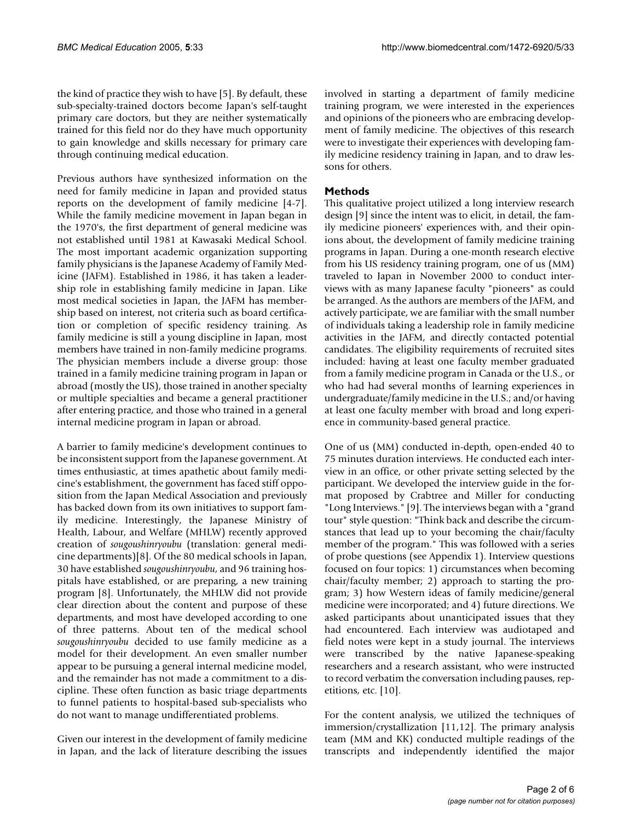the kind of practice they wish to have [5]. By default, these sub-specialty-trained doctors become Japan's self-taught primary care doctors, but they are neither systematically trained for this field nor do they have much opportunity to gain knowledge and skills necessary for primary care through continuing medical education.

Previous authors have synthesized information on the need for family medicine in Japan and provided status reports on the development of family medicine [4-7]. While the family medicine movement in Japan began in the 1970's, the first department of general medicine was not established until 1981 at Kawasaki Medical School. The most important academic organization supporting family physicians is the Japanese Academy of Family Medicine (JAFM). Established in 1986, it has taken a leadership role in establishing family medicine in Japan. Like most medical societies in Japan, the JAFM has membership based on interest, not criteria such as board certification or completion of specific residency training. As family medicine is still a young discipline in Japan, most members have trained in non-family medicine programs. The physician members include a diverse group: those trained in a family medicine training program in Japan or abroad (mostly the US), those trained in another specialty or multiple specialties and became a general practitioner after entering practice, and those who trained in a general internal medicine program in Japan or abroad.

A barrier to family medicine's development continues to be inconsistent support from the Japanese government. At times enthusiastic, at times apathetic about family medicine's establishment, the government has faced stiff opposition from the Japan Medical Association and previously has backed down from its own initiatives to support family medicine. Interestingly, the Japanese Ministry of Health, Labour, and Welfare (MHLW) recently approved creation of *sougoushinryoubu* (translation: general medicine departments)[8]. Of the 80 medical schools in Japan, 30 have established *sougoushinryoubu*, and 96 training hospitals have established, or are preparing, a new training program [8]. Unfortunately, the MHLW did not provide clear direction about the content and purpose of these departments, and most have developed according to one of three patterns. About ten of the medical school *sougoushinryoubu* decided to use family medicine as a model for their development. An even smaller number appear to be pursuing a general internal medicine model, and the remainder has not made a commitment to a discipline. These often function as basic triage departments to funnel patients to hospital-based sub-specialists who do not want to manage undifferentiated problems.

Given our interest in the development of family medicine in Japan, and the lack of literature describing the issues

involved in starting a department of family medicine training program, we were interested in the experiences and opinions of the pioneers who are embracing development of family medicine. The objectives of this research were to investigate their experiences with developing family medicine residency training in Japan, and to draw lessons for others.

# **Methods**

This qualitative project utilized a long interview research design [9] since the intent was to elicit, in detail, the family medicine pioneers' experiences with, and their opinions about, the development of family medicine training programs in Japan. During a one-month research elective from his US residency training program, one of us (MM) traveled to Japan in November 2000 to conduct interviews with as many Japanese faculty "pioneers" as could be arranged. As the authors are members of the JAFM, and actively participate, we are familiar with the small number of individuals taking a leadership role in family medicine activities in the JAFM, and directly contacted potential candidates. The eligibility requirements of recruited sites included: having at least one faculty member graduated from a family medicine program in Canada or the U.S., or who had had several months of learning experiences in undergraduate/family medicine in the U.S.; and/or having at least one faculty member with broad and long experience in community-based general practice.

One of us (MM) conducted in-depth, open-ended 40 to 75 minutes duration interviews. He conducted each interview in an office, or other private setting selected by the participant. We developed the interview guide in the format proposed by Crabtree and Miller for conducting "Long Interviews." [9]. The interviews began with a "grand tour" style question: "Think back and describe the circumstances that lead up to your becoming the chair/faculty member of the program." This was followed with a series of probe questions (see Appendix 1). Interview questions focused on four topics: 1) circumstances when becoming chair/faculty member; 2) approach to starting the program; 3) how Western ideas of family medicine/general medicine were incorporated; and 4) future directions. We asked participants about unanticipated issues that they had encountered. Each interview was audiotaped and field notes were kept in a study journal. The interviews were transcribed by the native Japanese-speaking researchers and a research assistant, who were instructed to record verbatim the conversation including pauses, repetitions, etc. [10].

For the content analysis, we utilized the techniques of immersion/crystallization [11,12]. The primary analysis team (MM and KK) conducted multiple readings of the transcripts and independently identified the major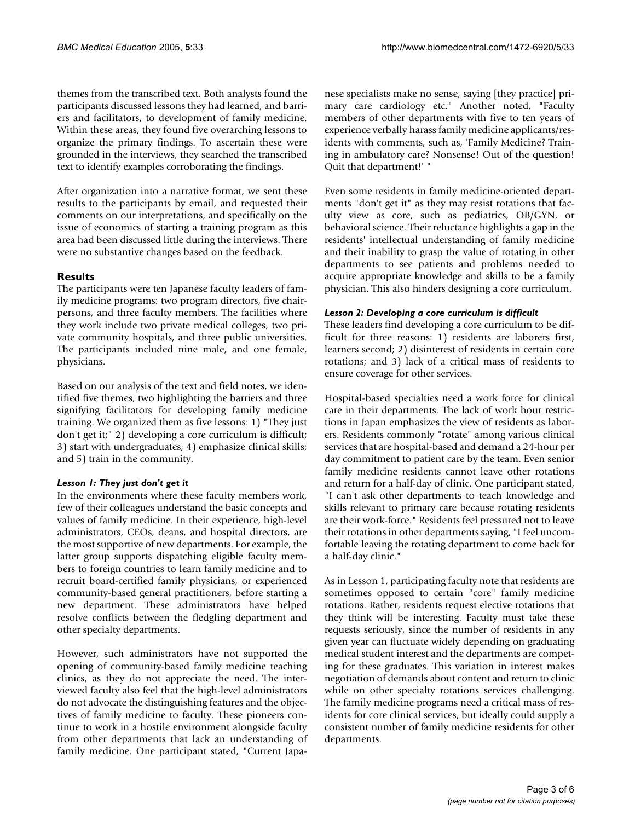themes from the transcribed text. Both analysts found the participants discussed lessons they had learned, and barriers and facilitators, to development of family medicine. Within these areas, they found five overarching lessons to organize the primary findings. To ascertain these were grounded in the interviews, they searched the transcribed text to identify examples corroborating the findings.

After organization into a narrative format, we sent these results to the participants by email, and requested their comments on our interpretations, and specifically on the issue of economics of starting a training program as this area had been discussed little during the interviews. There were no substantive changes based on the feedback.

# **Results**

The participants were ten Japanese faculty leaders of family medicine programs: two program directors, five chairpersons, and three faculty members. The facilities where they work include two private medical colleges, two private community hospitals, and three public universities. The participants included nine male, and one female, physicians.

Based on our analysis of the text and field notes, we identified five themes, two highlighting the barriers and three signifying facilitators for developing family medicine training. We organized them as five lessons: 1) "They just don't get it;" 2) developing a core curriculum is difficult; 3) start with undergraduates; 4) emphasize clinical skills; and 5) train in the community.

# *Lesson 1: They just don't get it*

In the environments where these faculty members work, few of their colleagues understand the basic concepts and values of family medicine. In their experience, high-level administrators, CEOs, deans, and hospital directors, are the most supportive of new departments. For example, the latter group supports dispatching eligible faculty members to foreign countries to learn family medicine and to recruit board-certified family physicians, or experienced community-based general practitioners, before starting a new department. These administrators have helped resolve conflicts between the fledgling department and other specialty departments.

However, such administrators have not supported the opening of community-based family medicine teaching clinics, as they do not appreciate the need. The interviewed faculty also feel that the high-level administrators do not advocate the distinguishing features and the objectives of family medicine to faculty. These pioneers continue to work in a hostile environment alongside faculty from other departments that lack an understanding of family medicine. One participant stated, "Current Japanese specialists make no sense, saying [they practice] primary care cardiology etc." Another noted, "Faculty members of other departments with five to ten years of experience verbally harass family medicine applicants/residents with comments, such as, 'Family Medicine? Training in ambulatory care? Nonsense! Out of the question! Quit that department!' "

Even some residents in family medicine-oriented departments "don't get it" as they may resist rotations that faculty view as core, such as pediatrics, OB/GYN, or behavioral science. Their reluctance highlights a gap in the residents' intellectual understanding of family medicine and their inability to grasp the value of rotating in other departments to see patients and problems needed to acquire appropriate knowledge and skills to be a family physician. This also hinders designing a core curriculum.

#### *Lesson 2: Developing a core curriculum is difficult*

These leaders find developing a core curriculum to be difficult for three reasons: 1) residents are laborers first, learners second; 2) disinterest of residents in certain core rotations; and 3) lack of a critical mass of residents to ensure coverage for other services.

Hospital-based specialties need a work force for clinical care in their departments. The lack of work hour restrictions in Japan emphasizes the view of residents as laborers. Residents commonly "rotate" among various clinical services that are hospital-based and demand a 24-hour per day commitment to patient care by the team. Even senior family medicine residents cannot leave other rotations and return for a half-day of clinic. One participant stated, "I can't ask other departments to teach knowledge and skills relevant to primary care because rotating residents are their work-force." Residents feel pressured not to leave their rotations in other departments saying, "I feel uncomfortable leaving the rotating department to come back for a half-day clinic."

As in Lesson 1, participating faculty note that residents are sometimes opposed to certain "core" family medicine rotations. Rather, residents request elective rotations that they think will be interesting. Faculty must take these requests seriously, since the number of residents in any given year can fluctuate widely depending on graduating medical student interest and the departments are competing for these graduates. This variation in interest makes negotiation of demands about content and return to clinic while on other specialty rotations services challenging. The family medicine programs need a critical mass of residents for core clinical services, but ideally could supply a consistent number of family medicine residents for other departments.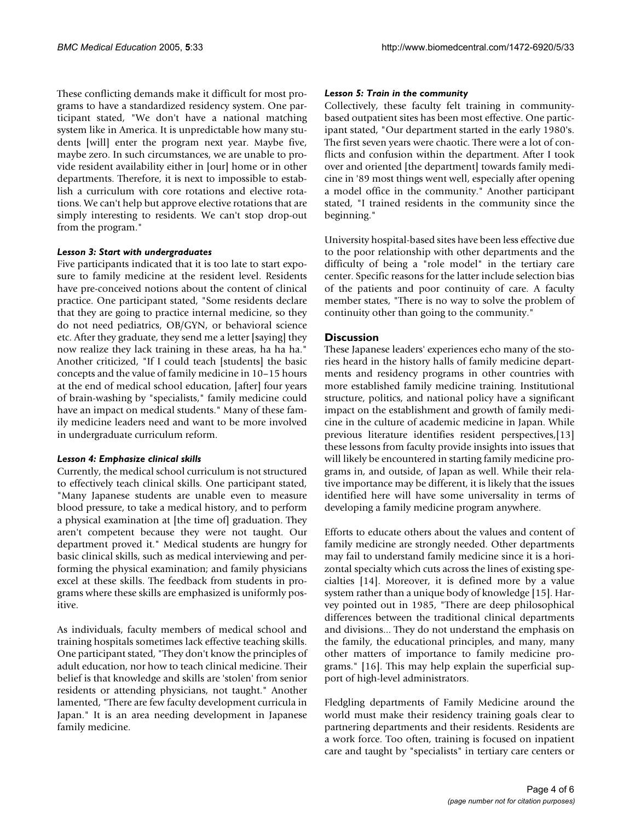These conflicting demands make it difficult for most programs to have a standardized residency system. One participant stated, "We don't have a national matching system like in America. It is unpredictable how many students [will] enter the program next year. Maybe five, maybe zero. In such circumstances, we are unable to provide resident availability either in [our] home or in other departments. Therefore, it is next to impossible to establish a curriculum with core rotations and elective rotations. We can't help but approve elective rotations that are simply interesting to residents. We can't stop drop-out from the program."

#### *Lesson 3: Start with undergraduates*

Five participants indicated that it is too late to start exposure to family medicine at the resident level. Residents have pre-conceived notions about the content of clinical practice. One participant stated, "Some residents declare that they are going to practice internal medicine, so they do not need pediatrics, OB/GYN, or behavioral science etc. After they graduate, they send me a letter [saying] they now realize they lack training in these areas, ha ha ha." Another criticized, "If I could teach [students] the basic concepts and the value of family medicine in 10–15 hours at the end of medical school education, [after] four years of brain-washing by "specialists," family medicine could have an impact on medical students." Many of these family medicine leaders need and want to be more involved in undergraduate curriculum reform.

# *Lesson 4: Emphasize clinical skills*

Currently, the medical school curriculum is not structured to effectively teach clinical skills. One participant stated, "Many Japanese students are unable even to measure blood pressure, to take a medical history, and to perform a physical examination at [the time of] graduation. They aren't competent because they were not taught. Our department proved it." Medical students are hungry for basic clinical skills, such as medical interviewing and performing the physical examination; and family physicians excel at these skills. The feedback from students in programs where these skills are emphasized is uniformly positive.

As individuals, faculty members of medical school and training hospitals sometimes lack effective teaching skills. One participant stated, "They don't know the principles of adult education, nor how to teach clinical medicine. Their belief is that knowledge and skills are 'stolen' from senior residents or attending physicians, not taught." Another lamented, "There are few faculty development curricula in Japan." It is an area needing development in Japanese family medicine.

# *Lesson 5: Train in the community*

Collectively, these faculty felt training in communitybased outpatient sites has been most effective. One participant stated, "Our department started in the early 1980's. The first seven years were chaotic. There were a lot of conflicts and confusion within the department. After I took over and oriented [the department] towards family medicine in '89 most things went well, especially after opening a model office in the community." Another participant stated, "I trained residents in the community since the beginning."

University hospital-based sites have been less effective due to the poor relationship with other departments and the difficulty of being a "role model" in the tertiary care center. Specific reasons for the latter include selection bias of the patients and poor continuity of care. A faculty member states, "There is no way to solve the problem of continuity other than going to the community."

# **Discussion**

These Japanese leaders' experiences echo many of the stories heard in the history halls of family medicine departments and residency programs in other countries with more established family medicine training. Institutional structure, politics, and national policy have a significant impact on the establishment and growth of family medicine in the culture of academic medicine in Japan. While previous literature identifies resident perspectives,[13] these lessons from faculty provide insights into issues that will likely be encountered in starting family medicine programs in, and outside, of Japan as well. While their relative importance may be different, it is likely that the issues identified here will have some universality in terms of developing a family medicine program anywhere.

Efforts to educate others about the values and content of family medicine are strongly needed. Other departments may fail to understand family medicine since it is a horizontal specialty which cuts across the lines of existing specialties [14]. Moreover, it is defined more by a value system rather than a unique body of knowledge [15]. Harvey pointed out in 1985, "There are deep philosophical differences between the traditional clinical departments and divisions... They do not understand the emphasis on the family, the educational principles, and many, many other matters of importance to family medicine programs." [16]. This may help explain the superficial support of high-level administrators.

Fledgling departments of Family Medicine around the world must make their residency training goals clear to partnering departments and their residents. Residents are a work force. Too often, training is focused on inpatient care and taught by "specialists" in tertiary care centers or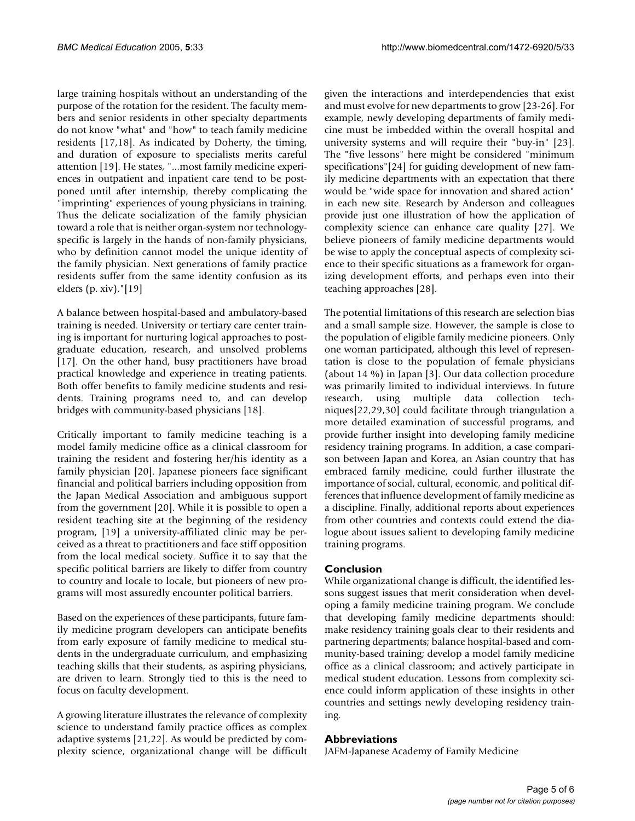large training hospitals without an understanding of the purpose of the rotation for the resident. The faculty members and senior residents in other specialty departments do not know "what" and "how" to teach family medicine residents [17,18]. As indicated by Doherty, the timing, and duration of exposure to specialists merits careful attention [19]. He states, "...most family medicine experiences in outpatient and inpatient care tend to be postponed until after internship, thereby complicating the "imprinting" experiences of young physicians in training. Thus the delicate socialization of the family physician toward a role that is neither organ-system nor technologyspecific is largely in the hands of non-family physicians, who by definition cannot model the unique identity of the family physician. Next generations of family practice residents suffer from the same identity confusion as its elders (p. xiv)."[19]

A balance between hospital-based and ambulatory-based training is needed. University or tertiary care center training is important for nurturing logical approaches to postgraduate education, research, and unsolved problems [17]. On the other hand, busy practitioners have broad practical knowledge and experience in treating patients. Both offer benefits to family medicine students and residents. Training programs need to, and can develop bridges with community-based physicians [18].

Critically important to family medicine teaching is a model family medicine office as a clinical classroom for training the resident and fostering her/his identity as a family physician [20]. Japanese pioneers face significant financial and political barriers including opposition from the Japan Medical Association and ambiguous support from the government [20]. While it is possible to open a resident teaching site at the beginning of the residency program, [19] a university-affiliated clinic may be perceived as a threat to practitioners and face stiff opposition from the local medical society. Suffice it to say that the specific political barriers are likely to differ from country to country and locale to locale, but pioneers of new programs will most assuredly encounter political barriers.

Based on the experiences of these participants, future family medicine program developers can anticipate benefits from early exposure of family medicine to medical students in the undergraduate curriculum, and emphasizing teaching skills that their students, as aspiring physicians, are driven to learn. Strongly tied to this is the need to focus on faculty development.

A growing literature illustrates the relevance of complexity science to understand family practice offices as complex adaptive systems [21,22]. As would be predicted by complexity science, organizational change will be difficult given the interactions and interdependencies that exist and must evolve for new departments to grow [23-26]. For example, newly developing departments of family medicine must be imbedded within the overall hospital and university systems and will require their "buy-in" [23]. The "five lessons" here might be considered "minimum specifications"[24] for guiding development of new family medicine departments with an expectation that there would be "wide space for innovation and shared action" in each new site. Research by Anderson and colleagues provide just one illustration of how the application of complexity science can enhance care quality [27]. We believe pioneers of family medicine departments would be wise to apply the conceptual aspects of complexity science to their specific situations as a framework for organizing development efforts, and perhaps even into their teaching approaches [28].

The potential limitations of this research are selection bias and a small sample size. However, the sample is close to the population of eligible family medicine pioneers. Only one woman participated, although this level of representation is close to the population of female physicians (about 14 %) in Japan [3]. Our data collection procedure was primarily limited to individual interviews. In future research, using multiple data collection techniques[22,29,30] could facilitate through triangulation a more detailed examination of successful programs, and provide further insight into developing family medicine residency training programs. In addition, a case comparison between Japan and Korea, an Asian country that has embraced family medicine, could further illustrate the importance of social, cultural, economic, and political differences that influence development of family medicine as a discipline. Finally, additional reports about experiences from other countries and contexts could extend the dialogue about issues salient to developing family medicine training programs.

# **Conclusion**

While organizational change is difficult, the identified lessons suggest issues that merit consideration when developing a family medicine training program. We conclude that developing family medicine departments should: make residency training goals clear to their residents and partnering departments; balance hospital-based and community-based training; develop a model family medicine office as a clinical classroom; and actively participate in medical student education. Lessons from complexity science could inform application of these insights in other countries and settings newly developing residency training.

# **Abbreviations**

JAFM-Japanese Academy of Family Medicine